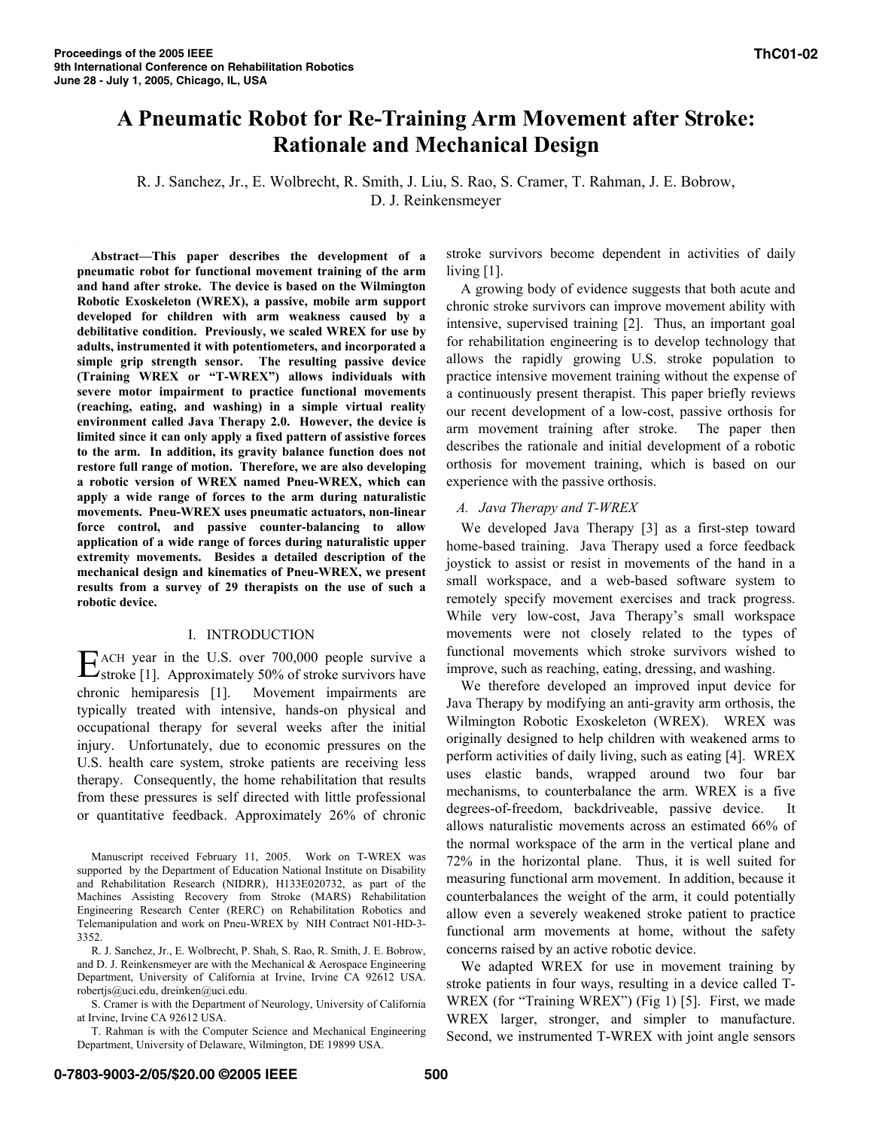# **A Pneumatic Robot for Re-Training Arm Movement after Stroke: Rationale and Mechanical Design**

R. J. Sanchez, Jr., E. Wolbrecht, R. Smith, J. Liu, S. Rao, S. Cramer, T. Rahman, J. E. Bobrow, D. J. Reinkensmeyer

**Abstract—This paper describes the development of a pneumatic robot for functional movement training of the arm and hand after stroke. The device is based on the Wilmington Robotic Exoskeleton (WREX), a passive, mobile arm support developed for children with arm weakness caused by a debilitative condition. Previously, we scaled WREX for use by adults, instrumented it with potentiometers, and incorporated a simple grip strength sensor. The resulting passive device (Training WREX or "T-WREX") allows individuals with severe motor impairment to practice functional movements (reaching, eating, and washing) in a simple virtual reality environment called Java Therapy 2.0. However, the device is limited since it can only apply a fixed pattern of assistive forces to the arm. In addition, its gravity balance function does not restore full range of motion. Therefore, we are also developing a robotic version of WREX named Pneu-WREX, which can apply a wide range of forces to the arm during naturalistic movements. Pneu-WREX uses pneumatic actuators, non-linear force control, and passive counter-balancing to allow application of a wide range of forces during naturalistic upper extremity movements. Besides a detailed description of the mechanical design and kinematics of Pneu-WREX, we present results from a survey of 29 therapists on the use of such a robotic device.** 

## I. INTRODUCTION

ACH year in the U.S. over 700,000 people survive a E ACH year in the U.S. over 700,000 people survive a stroke [1]. Approximately 50% of stroke survivors have chronic hemiparesis [1]. Movement impairments are typically treated with intensive, hands-on physical and occupational therapy for several weeks after the initial injury. Unfortunately, due to economic pressures on the U.S. health care system, stroke patients are receiving less therapy. Consequently, the home rehabilitation that results from these pressures is self directed with little professional or quantitative feedback. Approximately 26% of chronic

Manuscript received February 11, 2005. Work on T-WREX was supported by the Department of Education National Institute on Disability and Rehabilitation Research (NIDRR), H133E020732, as part of the Machines Assisting Recovery from Stroke (MARS) Rehabilitation Engineering Research Center (RERC) on Rehabilitation Robotics and Telemanipulation and work on Pneu-WREX by NIH Contract N01-HD-3- 3352.

R. J. Sanchez, Jr., E. Wolbrecht, P. Shah, S. Rao, R. Smith, J. E. Bobrow, and D. J. Reinkensmeyer are with the Mechanical & Aerospace Engineering Department, University of California at Irvine, Irvine CA 92612 USA. robertjs@uci.edu, dreinken@uci.edu.

S. Cramer is with the Department of Neurology, University of California at Irvine, Irvine CA 92612 USA.

T. Rahman is with the Computer Science and Mechanical Engineering Department, University of Delaware, Wilmington, DE 19899 USA.

stroke survivors become dependent in activities of daily living [1].

A growing body of evidence suggests that both acute and chronic stroke survivors can improve movement ability with intensive, supervised training [2]. Thus, an important goal for rehabilitation engineering is to develop technology that allows the rapidly growing U.S. stroke population to practice intensive movement training without the expense of a continuously present therapist. This paper briefly reviews our recent development of a low-cost, passive orthosis for arm movement training after stroke. The paper then describes the rationale and initial development of a robotic orthosis for movement training, which is based on our experience with the passive orthosis.

## *A. Java Therapy and T-WREX*

We developed Java Therapy [3] as a first-step toward home-based training. Java Therapy used a force feedback joystick to assist or resist in movements of the hand in a small workspace, and a web-based software system to remotely specify movement exercises and track progress. While very low-cost, Java Therapy's small workspace movements were not closely related to the types of functional movements which stroke survivors wished to improve, such as reaching, eating, dressing, and washing.

We therefore developed an improved input device for Java Therapy by modifying an anti-gravity arm orthosis, the Wilmington Robotic Exoskeleton (WREX). WREX was originally designed to help children with weakened arms to perform activities of daily living, such as eating [4]. WREX uses elastic bands, wrapped around two four bar mechanisms, to counterbalance the arm. WREX is a five degrees-of-freedom, backdriveable, passive device. It allows naturalistic movements across an estimated 66% of the normal workspace of the arm in the vertical plane and 72% in the horizontal plane. Thus, it is well suited for measuring functional arm movement. In addition, because it counterbalances the weight of the arm, it could potentially allow even a severely weakened stroke patient to practice functional arm movements at home, without the safety concerns raised by an active robotic device.

We adapted WREX for use in movement training by stroke patients in four ways, resulting in a device called T-WREX (for "Training WREX") (Fig 1) [5]. First, we made WREX larger, stronger, and simpler to manufacture. Second, we instrumented T-WREX with joint angle sensors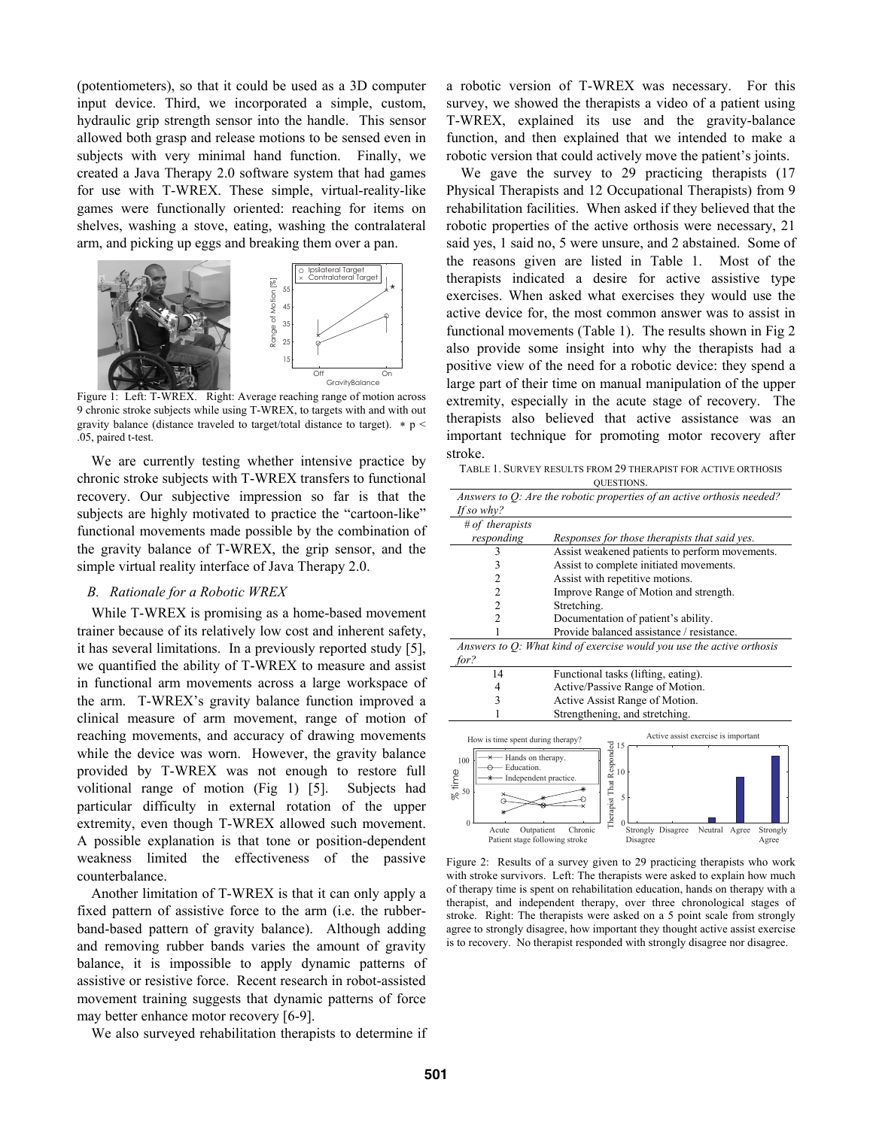(potentiometers), so that it could be used as a 3D computer input device. Third, we incorporated a simple, custom, hydraulic grip strength sensor into the handle. This sensor allowed both grasp and release motions to be sensed even in subjects with very minimal hand function. Finally, we created a Java Therapy 2.0 software system that had games for use with T-WREX. These simple, virtual-reality-like games were functionally oriented: reaching for items on shelves, washing a stove, eating, washing the contralateral arm, and picking up eggs and breaking them over a pan.



Figure 1: Left: T-WREX. Right: Average reaching range of motion across 9 chronic stroke subjects while using T-WREX, to targets with and with out gravity balance (distance traveled to target/total distance to target).  $* p <$ .05, paired t-test.

We are currently testing whether intensive practice by chronic stroke subjects with T-WREX transfers to functional recovery. Our subjective impression so far is that the subjects are highly motivated to practice the "cartoon-like" functional movements made possible by the combination of the gravity balance of T-WREX, the grip sensor, and the simple virtual reality interface of Java Therapy 2.0.

#### *B. Rationale for a Robotic WREX*

While T-WREX is promising as a home-based movement trainer because of its relatively low cost and inherent safety, it has several limitations. In a previously reported study [5], we quantified the ability of T-WREX to measure and assist in functional arm movements across a large workspace of the arm. T-WREX's gravity balance function improved a clinical measure of arm movement, range of motion of reaching movements, and accuracy of drawing movements while the device was worn. However, the gravity balance provided by T-WREX was not enough to restore full volitional range of motion (Fig 1) [5]. Subjects had particular difficulty in external rotation of the upper extremity, even though T-WREX allowed such movement. A possible explanation is that tone or position-dependent weakness limited the effectiveness of the passive counterbalance.

Another limitation of T-WREX is that it can only apply a fixed pattern of assistive force to the arm (i.e. the rubberband-based pattern of gravity balance). Although adding and removing rubber bands varies the amount of gravity balance, it is impossible to apply dynamic patterns of assistive or resistive force. Recent research in robot-assisted movement training suggests that dynamic patterns of force may better enhance motor recovery [6-9].

We also surveyed rehabilitation therapists to determine if

a robotic version of T-WREX was necessary. For this survey, we showed the therapists a video of a patient using T-WREX, explained its use and the gravity-balance function, and then explained that we intended to make a robotic version that could actively move the patient's joints.

We gave the survey to 29 practicing therapists (17 Physical Therapists and 12 Occupational Therapists) from 9 rehabilitation facilities. When asked if they believed that the robotic properties of the active orthosis were necessary, 21 said yes, 1 said no, 5 were unsure, and 2 abstained. Some of the reasons given are listed in Table 1. Most of the therapists indicated a desire for active assistive type exercises. When asked what exercises they would use the active device for, the most common answer was to assist in functional movements (Table 1). The results shown in Fig 2 also provide some insight into why the therapists had a positive view of the need for a robotic device: they spend a large part of their time on manual manipulation of the upper extremity, especially in the acute stage of recovery. The therapists also believed that active assistance was an important technique for promoting motor recovery after stroke.

TABLE 1. SURVEY RESULTS FROM 29 THERAPIST FOR ACTIVE ORTHOSIS

| <b>OUESTIONS.</b>                                                                                                                                                                                                                                                                                                                                                |                                                |
|------------------------------------------------------------------------------------------------------------------------------------------------------------------------------------------------------------------------------------------------------------------------------------------------------------------------------------------------------------------|------------------------------------------------|
| Answers to Q: Are the robotic properties of an active orthosis needed?                                                                                                                                                                                                                                                                                           |                                                |
| If so why?                                                                                                                                                                                                                                                                                                                                                       |                                                |
| # of therapists                                                                                                                                                                                                                                                                                                                                                  |                                                |
| responding                                                                                                                                                                                                                                                                                                                                                       | Responses for those therapists that said yes.  |
| 3                                                                                                                                                                                                                                                                                                                                                                | Assist weakened patients to perform movements. |
| 3                                                                                                                                                                                                                                                                                                                                                                | Assist to complete initiated movements.        |
| $\overline{c}$                                                                                                                                                                                                                                                                                                                                                   | Assist with repetitive motions.                |
| $\overline{c}$                                                                                                                                                                                                                                                                                                                                                   | Improve Range of Motion and strength.          |
| $\overline{2}$                                                                                                                                                                                                                                                                                                                                                   | Stretching.                                    |
| $\overline{\mathcal{L}}$                                                                                                                                                                                                                                                                                                                                         | Documentation of patient's ability.            |
|                                                                                                                                                                                                                                                                                                                                                                  | Provide balanced assistance / resistance.      |
| Answers to $Q$ : What kind of exercise would you use the active orthosis                                                                                                                                                                                                                                                                                         |                                                |
| for?                                                                                                                                                                                                                                                                                                                                                             |                                                |
| 14                                                                                                                                                                                                                                                                                                                                                               | Functional tasks (lifting, eating).            |
| 4                                                                                                                                                                                                                                                                                                                                                                | Active/Passive Range of Motion.                |
| 3                                                                                                                                                                                                                                                                                                                                                                | Active Assist Range of Motion.                 |
|                                                                                                                                                                                                                                                                                                                                                                  | Strengthening, and stretching.                 |
| Active assist exercise is important<br>How is time spent during therapy?<br>Therapist That Responded<br>o<br>o<br>o<br>Hands on therapy.<br>100<br>Education.<br>% time<br>Independent practice.<br>50<br>$\theta$<br>Neutral<br>Outpatient<br>Chronic<br>Strongly Disagree<br>Strongly<br>Acute<br>Agree<br>Patient stage following stroke<br>Disagree<br>Agree |                                                |

Figure 2: Results of a survey given to 29 practicing therapists who work with stroke survivors. Left: The therapists were asked to explain how much of therapy time is spent on rehabilitation education, hands on therapy with a therapist, and independent therapy, over three chronological stages of stroke. Right: The therapists were asked on a 5 point scale from strongly agree to strongly disagree, how important they thought active assist exercise is to recovery. No therapist responded with strongly disagree nor disagree.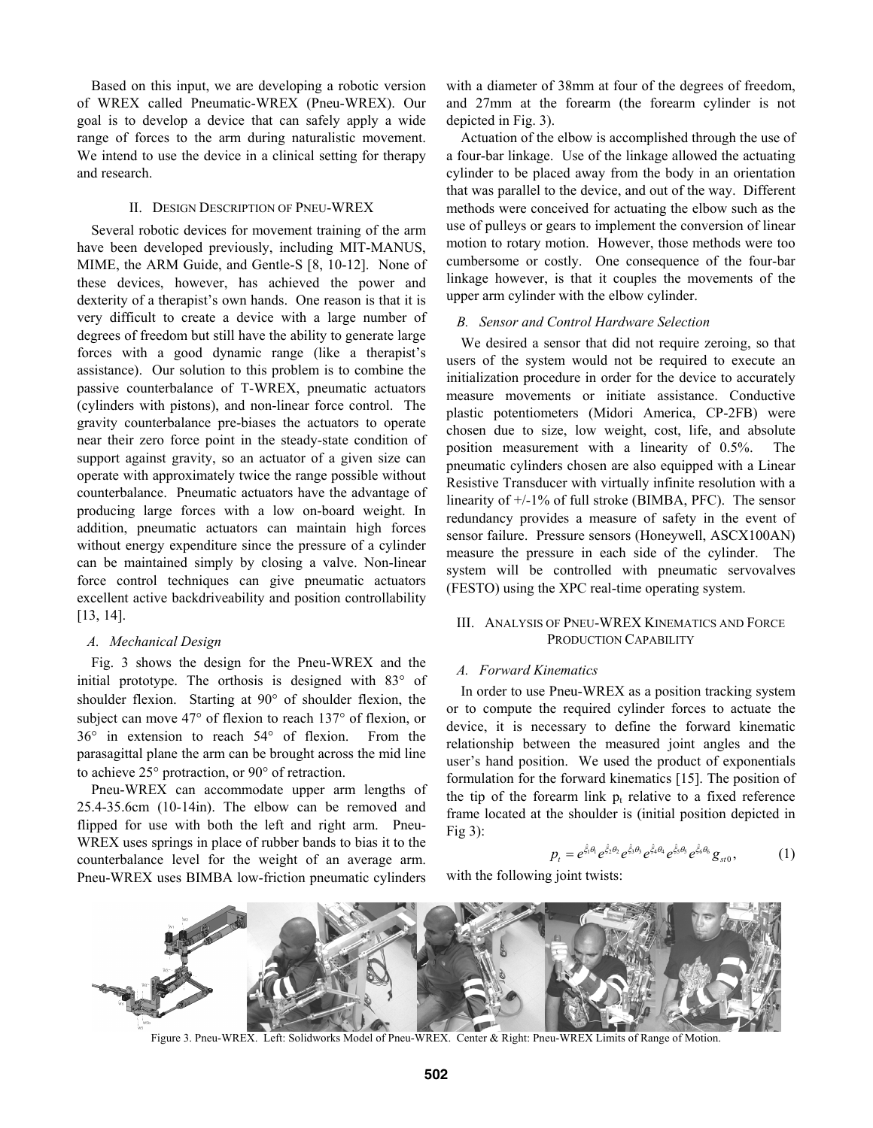Based on this input, we are developing a robotic version of WREX called Pneumatic-WREX (Pneu-WREX). Our goal is to develop a device that can safely apply a wide range of forces to the arm during naturalistic movement. We intend to use the device in a clinical setting for therapy and research.

#### II. DESIGN DESCRIPTION OF PNEU-WREX

Several robotic devices for movement training of the arm have been developed previously, including MIT-MANUS, MIME, the ARM Guide, and Gentle-S [8, 10-12]. None of these devices, however, has achieved the power and dexterity of a therapist's own hands. One reason is that it is very difficult to create a device with a large number of degrees of freedom but still have the ability to generate large forces with a good dynamic range (like a therapist's assistance). Our solution to this problem is to combine the passive counterbalance of T-WREX, pneumatic actuators (cylinders with pistons), and non-linear force control. The gravity counterbalance pre-biases the actuators to operate near their zero force point in the steady-state condition of support against gravity, so an actuator of a given size can operate with approximately twice the range possible without counterbalance. Pneumatic actuators have the advantage of producing large forces with a low on-board weight. In addition, pneumatic actuators can maintain high forces without energy expenditure since the pressure of a cylinder can be maintained simply by closing a valve. Non-linear force control techniques can give pneumatic actuators excellent active backdriveability and position controllability [13, 14].

#### *A. Mechanical Design*

Fig. 3 shows the design for the Pneu-WREX and the initial prototype. The orthosis is designed with  $83^\circ$  of shoulder flexion. Starting at  $90^{\circ}$  of shoulder flexion, the subject can move  $47^{\circ}$  of flexion to reach  $137^{\circ}$  of flexion, or  $36^\circ$  in extension to reach  $54^\circ$  of flexion. From the parasagittal plane the arm can be brought across the mid line to achieve  $25^{\circ}$  protraction, or  $90^{\circ}$  of retraction.

Pneu-WREX can accommodate upper arm lengths of 25.4-35.6cm (10-14in). The elbow can be removed and flipped for use with both the left and right arm. Pneu-WREX uses springs in place of rubber bands to bias it to the counterbalance level for the weight of an average arm. Pneu-WREX uses BIMBA low-friction pneumatic cylinders with a diameter of 38mm at four of the degrees of freedom, and 27mm at the forearm (the forearm cylinder is not depicted in Fig. 3).

Actuation of the elbow is accomplished through the use of a four-bar linkage. Use of the linkage allowed the actuating cylinder to be placed away from the body in an orientation that was parallel to the device, and out of the way. Different methods were conceived for actuating the elbow such as the use of pulleys or gears to implement the conversion of linear motion to rotary motion. However, those methods were too cumbersome or costly. One consequence of the four-bar linkage however, is that it couples the movements of the upper arm cylinder with the elbow cylinder.

#### *B. Sensor and Control Hardware Selection*

We desired a sensor that did not require zeroing, so that users of the system would not be required to execute an initialization procedure in order for the device to accurately measure movements or initiate assistance. Conductive plastic potentiometers (Midori America, CP-2FB) were chosen due to size, low weight, cost, life, and absolute position measurement with a linearity of 0.5%. The pneumatic cylinders chosen are also equipped with a Linear Resistive Transducer with virtually infinite resolution with a linearity of +/-1% of full stroke (BIMBA, PFC). The sensor redundancy provides a measure of safety in the event of sensor failure. Pressure sensors (Honeywell, ASCX100AN) measure the pressure in each side of the cylinder. The system will be controlled with pneumatic servovalves (FESTO) using the XPC real-time operating system.

## III. ANALYSIS OF PNEU-WREX KINEMATICS AND FORCE PRODUCTION CAPABILITY

## *A. Forward Kinematics*

In order to use Pneu-WREX as a position tracking system or to compute the required cylinder forces to actuate the device, it is necessary to define the forward kinematic relationship between the measured joint angles and the user's hand position. We used the product of exponentials formulation for the forward kinematics [15]. The position of the tip of the forearm link  $p_t$  relative to a fixed reference frame located at the shoulder is (initial position depicted in Fig 3):

$$
p_t = e^{\hat{\xi}_1 \theta_1} e^{\hat{\xi}_2 \theta_2} e^{\hat{\xi}_3 \theta_3} e^{\hat{\xi}_4 \theta_4} e^{\hat{\xi}_5 \theta_5} e^{\hat{\xi}_6 \theta_6} g_{st0}, \qquad (1)
$$

with the following joint twists:



Figure 3. Pneu-WREX. Left: Solidworks Model of Pneu-WREX. Center & Right: Pneu-WREX Limits of Range of Motion.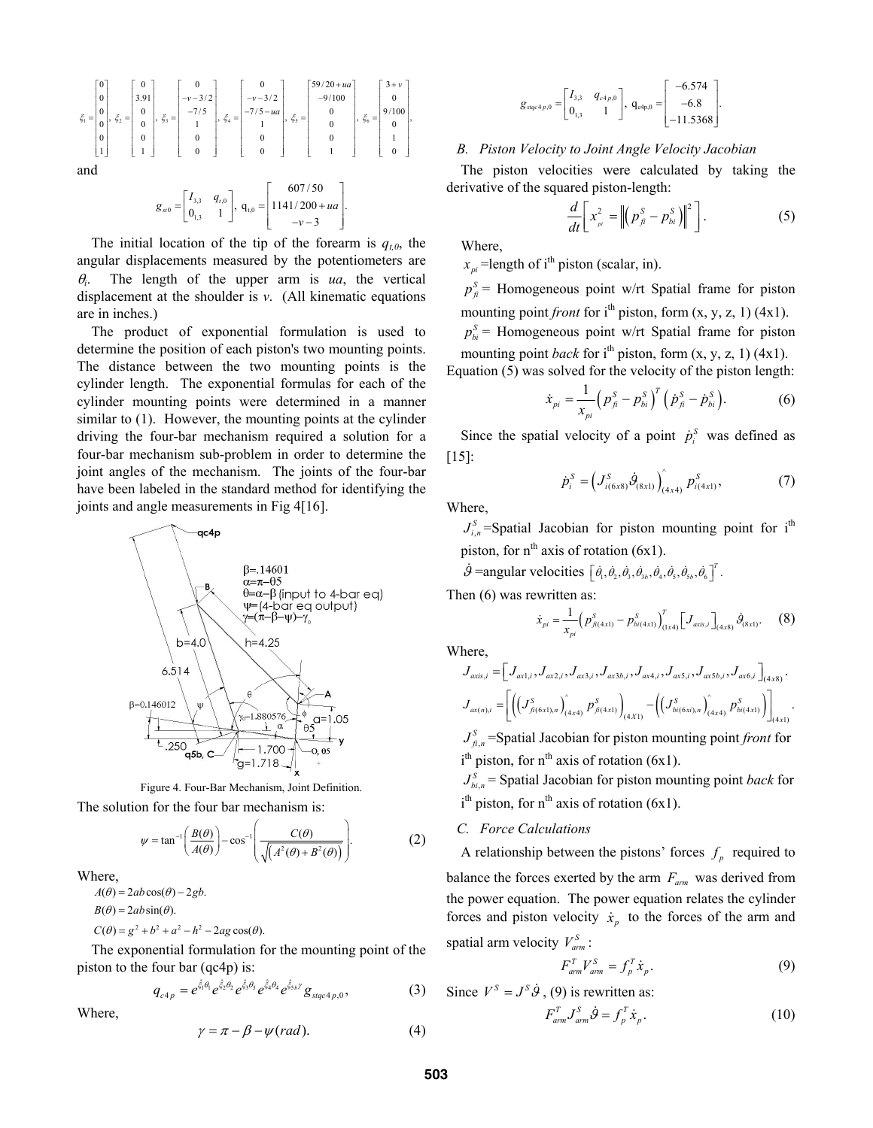$$
\xi_{1} = \begin{bmatrix} 0 \\ 0 \\ 0 \\ 0 \\ 0 \\ 1 \end{bmatrix}, \xi_{2} = \begin{bmatrix} 0 \\ 3.91 \\ 0 \\ 0 \\ 0 \\ 1 \end{bmatrix}, \xi_{3} = \begin{bmatrix} 0 \\ -\nu - 3/2 \\ -7/5 \\ 1 \\ 0 \\ 0 \\ 0 \end{bmatrix}, \xi_{4} = \begin{bmatrix} 0 \\ -\nu - 3/2 \\ -7/5 - u\alpha \\ 1 \\ 0 \\ 0 \end{bmatrix}, \xi_{5} = \begin{bmatrix} 59/20 + u\alpha \\ -9/100 \\ 0 \\ 0 \\ 0 \\ 0 \end{bmatrix}, \xi_{6} = \begin{bmatrix} 3 + v \\ 0 \\ 9/100 \\ 0 \\ 1 \\ 0 \end{bmatrix},
$$

$$
g_{\scriptscriptstyle{st0}} = \begin{bmatrix} I_{3,3} & q_{\scriptscriptstyle{t,0}} \\ 0_{\scriptscriptstyle{1,3}} & 1 \end{bmatrix}, \; q_{\scriptscriptstyle{t,0}} = \begin{bmatrix} 607/50 \\ 1141/200 + ua \\ -v - 3 \end{bmatrix}.
$$

The initial location of the tip of the forearm is  $q_{t,0}$ , the angular displacements measured by the potentiometers are  $\theta_i$ . The length of the upper arm is *ua*, the vertical displacement at the shoulder is *v*. (All kinematic equations are in inches.)

The product of exponential formulation is used to determine the position of each piston's two mounting points. The distance between the two mounting points is the cylinder length. The exponential formulas for each of the cylinder mounting points were determined in a manner similar to  $(1)$ . However, the mounting points at the cylinder driving the four-bar mechanism required a solution for a four-bar mechanism sub-problem in order to determine the joint angles of the mechanism. The joints of the four-bar have been labeled in the standard method for identifying the joints and angle measurements in Fig 4[16].



Figure 4. Four-Bar Mechanism, Joint Definition. The solution for the four bar mechanism is:

$$
\psi = \tan^{-1} \left( \frac{B(\theta)}{A(\theta)} \right) - \cos^{-1} \left( \frac{C(\theta)}{\sqrt{A^2(\theta) + B^2(\theta)}} \right).
$$
 (2)

Where,

 $A(\theta) = 2ab\cos(\theta) - 2gb.$  $B(\theta) = 2ab\sin(\theta)$ .  $C(\theta) = g^2 + b^2 + a^2 - h^2 - 2ag \cos(\theta).$ 

The exponential formulation for the mounting point of the piston to the four bar 
$$
(qc4p)
$$
 is:

$$
q_{c4p} = e^{\hat{\xi}_1 \theta_1} e^{\hat{\xi}_2 \theta_2} e^{\hat{\xi}_3 \theta_3} e^{\hat{\xi}_4 \theta_4} e^{\hat{\xi}_5 \theta'} g_{sqc4p,0}, \qquad (3)
$$

Where,

$$
\gamma = \pi - \beta - \psi(rad). \tag{4}
$$

$$
g_{\text{sq}_c4_p,0} = \begin{bmatrix} I_{3,3} & q_{c4_p,0} \\ 0_{1,3} & 1 \end{bmatrix}, \quad q_{c4_p,0} = \begin{bmatrix} -6.574 \\ -6.8 \\ -11.5368 \end{bmatrix}.
$$

## *B. Piston Velocity to Joint Angle Velocity Jacobian*

The piston velocities were calculated by taking the derivative of the squared piston-length:

$$
\frac{d}{dt}\bigg[x_{\scriptscriptstyle \mu}^2 = \bigg\|\bigg(p_{\scriptscriptstyle \beta}^S - p_{\scriptscriptstyle bi}^S\bigg)\bigg\|^2\bigg].\tag{5}
$$

Where,

 $x_{pi}$  =length of i<sup>th</sup> piston (scalar, in).

 $p_f^S$  = Homogeneous point w/rt Spatial frame for piston mounting point *front* for i<sup>th</sup> piston, form  $(x, y, z, 1)$  (4x1).

 $p_{bi}^S$  = Homogeneous point w/rt Spatial frame for piston mounting point *back* for i<sup>th</sup> piston, form  $(x, y, z, 1)$  (4x1).

Equation (5) was solved for the velocity of the piston length:

$$
\dot{x}_{pi} = \frac{1}{x_{pi}} \left( p_{\hat{n}}^S - p_{bi}^S \right)^T \left( \dot{p}_{\hat{n}}^S - \dot{p}_{bi}^S \right). \tag{6}
$$

Since the spatial velocity of a point  $\dot{p}_i^s$  was defined as [15]:

$$
\dot{p}_i^S = \left( J_{i(6x8)}^S \dot{\theta}_{(8x1)} \right)_{(4x4)}^S p_{i(4x1)}^S, \tag{7}
$$

Where,

 $J_{i,n}^S$ =Spatial Jacobian for piston mounting point for i<sup>th</sup> piston, for  $n^{th}$  axis of rotation (6x1).

 $\dot{\mathcal{G}}$  =angular velocities  $\left[\dot{\theta}_1, \dot{\theta}_2, \dot{\theta}_3, \dot{\theta}_3, \dot{\theta}_4, \dot{\theta}_5, \dot{\theta}_5, \dot{\theta}_6\right]^T$ .

Then (6) was rewritten as:

$$
\dot{x}_{pi} = \frac{1}{x_{pi}} \left( p_{f(i4x1)}^S - p_{bi(4x1)}^S \right)_{(1x4)}^T \left[ J_{\alpha x i, i} \right]_{(4x8)} \dot{\theta}_{(8x1)}.
$$
 (8)

Where,

$$
J_{\alpha x i s,i} = \left[ J_{\alpha x 1,i}, J_{\alpha x 2,i}, J_{\alpha x 3,i}, J_{\alpha x 3 b,i}, J_{\alpha x 4,i}, J_{\alpha x 5,i}, J_{\alpha x 5 b,i}, J_{\alpha x 6,i} \right]_{(4x8)}.
$$
  

$$
J_{\alpha x(n),i} = \left[ \left( \left( J_{\beta(\mathbf{6}x1),n}^S \right)_{(4x4)}^S P_{\beta(4x1)}^S \right)_{(4x1)} - \left( \left( J_{\delta i(\mathbf{6}xi),n}^S \right)_{(4x4)}^S P_{\delta i(4x1)}^S \right) \right]_{(4x1)}.
$$

, *S fi n J* =Spatial Jacobian for piston mounting point *front* for  $i<sup>th</sup>$  piston, for  $n<sup>th</sup>$  axis of rotation (6x1).

 $J_{bi,n}^S$  = Spatial Jacobian for piston mounting point *back* for  $i<sup>th</sup>$  piston, for n<sup>th</sup> axis of rotation (6x1).

## *C. Force Calculations*

A relationship between the pistons' forces  $f_p$  required to balance the forces exerted by the arm  $F_{arm}$  was derived from the power equation. The power equation relates the cylinder forces and piston velocity  $\dot{x}_n$  to the forces of the arm and spatial arm velocity  $V_{arm}^S$ :

$$
F_{arm}^T V_{arm}^S = f_p^T \dot{x}_p. \tag{9}
$$

Since  $V^S = J^S \dot{\theta}$ , (9) is rewritten as:

$$
F_{arm}^T J_{arm}^S \dot{\mathcal{Y}} = f_p^T \dot{x}_p. \tag{10}
$$